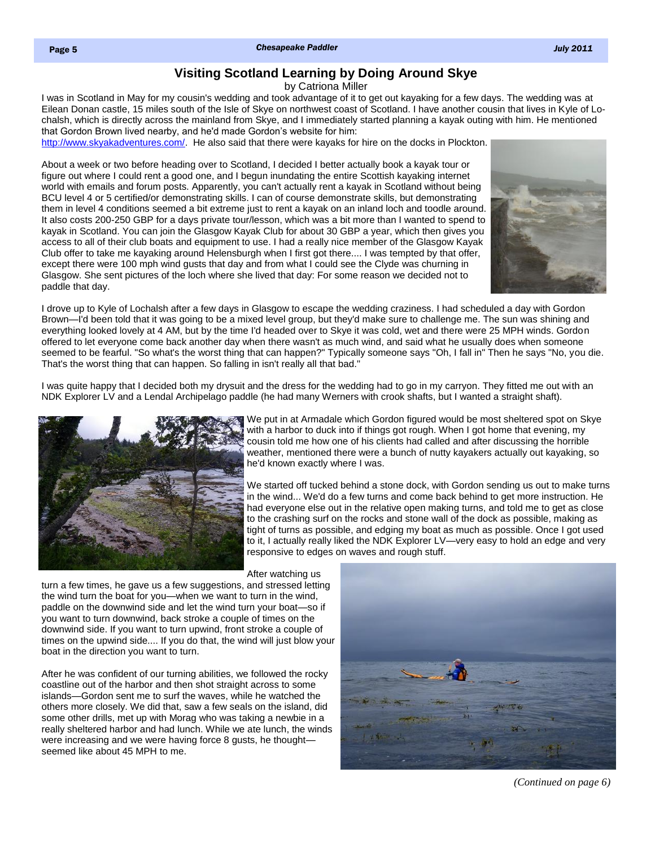## **Visiting Scotland Learning by Doing Around Skye**

by Catriona Miller

<span id="page-0-0"></span>I was in Scotland in May for my cousin's wedding and took advantage of it to get out kayaking for a few days. The wedding was at Eilean Donan castle, 15 miles south of the Isle of Skye on northwest coast of Scotland. I have another cousin that lives in Kyle of Lochalsh, which is directly across the mainland from Skye, and I immediately started planning a kayak outing with him. He mentioned that Gordon Brown lived nearby, and he'd made Gordon's website for him:

[http://www.skyakadventures.com/.](http://www.skyakadventures.com/) He also said that there were kayaks for hire on the docks in Plockton.

About a week or two before heading over to Scotland, I decided I better actually book a kayak tour or figure out where I could rent a good one, and I begun inundating the entire Scottish kayaking internet world with emails and forum posts. Apparently, you can't actually rent a kayak in Scotland without being BCU level 4 or 5 certified/or demonstrating skills. I can of course demonstrate skills, but demonstrating them in level 4 conditions seemed a bit extreme just to rent a kayak on an inland loch and toodle around. It also costs 200-250 GBP for a days private tour/lesson, which was a bit more than I wanted to spend to kayak in Scotland. You can join the Glasgow Kayak Club for about 30 GBP a year, which then gives you access to all of their club boats and equipment to use. I had a really nice member of the Glasgow Kayak Club offer to take me kayaking around Helensburgh when I first got there.... I was tempted by that offer, except there were 100 mph wind gusts that day and from what I could see the Clyde was churning in Glasgow. She sent pictures of the loch where she lived that day: For some reason we decided not to paddle that day.



I drove up to Kyle of Lochalsh after a few days in Glasgow to escape the wedding craziness. I had scheduled a day with Gordon Brown—I'd been told that it was going to be a mixed level group, but they'd make sure to challenge me. The sun was shining and everything looked lovely at 4 AM, but by the time I'd headed over to Skye it was cold, wet and there were 25 MPH winds. Gordon offered to let everyone come back another day when there wasn't as much wind, and said what he usually does when someone seemed to be fearful. "So what's the worst thing that can happen?" Typically someone says "Oh, I fall in" Then he says "No, you die. That's the worst thing that can happen. So falling in isn't really all that bad."

I was quite happy that I decided both my drysuit and the dress for the wedding had to go in my carryon. They fitted me out with an NDK Explorer LV and a Lendal Archipelago paddle (he had many Werners with crook shafts, but I wanted a straight shaft).



We put in at Armadale which Gordon figured would be most sheltered spot on Skye with a harbor to duck into if things got rough. When I got home that evening, my cousin told me how one of his clients had called and after discussing the horrible weather, mentioned there were a bunch of nutty kayakers actually out kayaking, so he'd known exactly where I was.

We started off tucked behind a stone dock, with Gordon sending us out to make turns in the wind... We'd do a few turns and come back behind to get more instruction. He had everyone else out in the relative open making turns, and told me to get as close to the crashing surf on the rocks and stone wall of the dock as possible, making as tight of turns as possible, and edging my boat as much as possible. Once I got used to it, I actually really liked the NDK Explorer LV—very easy to hold an edge and very responsive to edges on waves and rough stuff.

After watching us

turn a few times, he gave us a few suggestions, and stressed letting the wind turn the boat for you—when we want to turn in the wind, paddle on the downwind side and let the wind turn your boat—so if you want to turn downwind, back stroke a couple of times on the downwind side. If you want to turn upwind, front stroke a couple of times on the upwind side.... If you do that, the wind will just blow your boat in the direction you want to turn.

After he was confident of our turning abilities, we followed the rocky coastline out of the harbor and then shot straight across to some islands—Gordon sent me to surf the waves, while he watched the others more closely. We did that, saw a few seals on the island, did some other drills, met up with Morag who was taking a newbie in a really sheltered harbor and had lunch. While we ate lunch, the winds were increasing and we were having force 8 gusts, he thought seemed like about 45 MPH to me.



*[\(Continued on page 6\)](#page-1-0)*